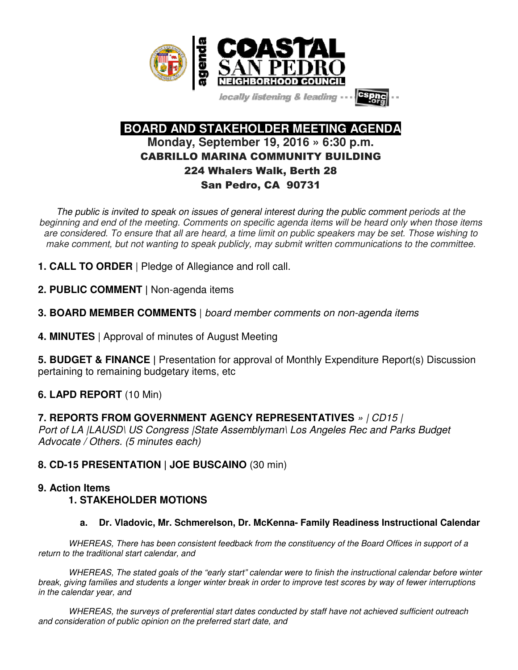

locally listening & leading -



 **BOARD AND STAKEHOLDER MEETING AGENDA Monday, September 19, 2016 » 6:30 p.m.**  CABRILLO MARINA COMMUNITY BUILDING 224 Whalers Walk, Berth 28 San Pedro, CA 90731

The public is invited to speak on issues of general interest during the public comment periods at the beginning and end of the meeting. Comments on specific agenda items will be heard only when those items are considered. To ensure that all are heard, a time limit on public speakers may be set. Those wishing to make comment, but not wanting to speak publicly, may submit written communications to the committee.

- **1. CALL TO ORDER** | Pledge of Allegiance and roll call.
- **2. PUBLIC COMMENT |** Non-agenda items
- **3. BOARD MEMBER COMMENTS** | board member comments on non-agenda items
- **4. MINUTES** | Approval of minutes of August Meeting

**5. BUDGET & FINANCE |** Presentation for approval of Monthly Expenditure Report(s) Discussion pertaining to remaining budgetary items, etc

# **6. LAPD REPORT** (10 Min)

**7. REPORTS FROM GOVERNMENT AGENCY REPRESENTATIVES** » | CD15 | Port of LA (LAUSD) US Congress (State Assemblyman) Los Angeles Rec and Parks Budget Advocate / Others. (5 minutes each)

# **8. CD-15 PRESENTATION | JOE BUSCAINO** (30 min)

# **9. Action Items**

# **1. STAKEHOLDER MOTIONS**

**a. Dr. Vladovic, Mr. Schmerelson, Dr. McKenna- Family Readiness Instructional Calendar** 

WHEREAS, There has been consistent feedback from the constituency of the Board Offices in support of a return to the traditional start calendar, and

WHEREAS, The stated goals of the "early start" calendar were to finish the instructional calendar before winter break, giving families and students a longer winter break in order to improve test scores by way of fewer interruptions in the calendar year, and

WHEREAS, the surveys of preferential start dates conducted by staff have not achieved sufficient outreach and consideration of public opinion on the preferred start date, and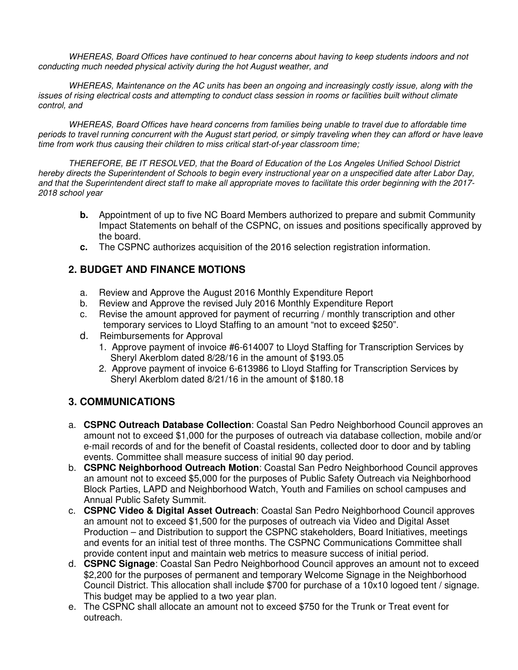WHEREAS, Board Offices have continued to hear concerns about having to keep students indoors and not conducting much needed physical activity during the hot August weather, and

WHEREAS, Maintenance on the AC units has been an ongoing and increasingly costly issue, along with the issues of rising electrical costs and attempting to conduct class session in rooms or facilities built without climate control, and

WHEREAS, Board Offices have heard concerns from families being unable to travel due to affordable time periods to travel running concurrent with the August start period, or simply traveling when they can afford or have leave time from work thus causing their children to miss critical start-of-year classroom time;

THEREFORE, BE IT RESOLVED, that the Board of Education of the Los Angeles Unified School District hereby directs the Superintendent of Schools to begin every instructional year on a unspecified date after Labor Day, and that the Superintendent direct staff to make all appropriate moves to facilitate this order beginning with the 2017- 2018 school year

- **b.** Appointment of up to five NC Board Members authorized to prepare and submit Community Impact Statements on behalf of the CSPNC, on issues and positions specifically approved by the board.
- **c.** The CSPNC authorizes acquisition of the 2016 selection registration information.

# **2. BUDGET AND FINANCE MOTIONS**

- a. Review and Approve the August 2016 Monthly Expenditure Report
- b. Review and Approve the revised July 2016 Monthly Expenditure Report
- c. Revise the amount approved for payment of recurring / monthly transcription and other temporary services to Lloyd Staffing to an amount "not to exceed \$250".
- d. Reimbursements for Approval
	- 1. Approve payment of invoice #6-614007 to Lloyd Staffing for Transcription Services by Sheryl Akerblom dated 8/28/16 in the amount of \$193.05
	- 2. Approve payment of invoice 6-613986 to Lloyd Staffing for Transcription Services by Sheryl Akerblom dated 8/21/16 in the amount of \$180.18

# **3. COMMUNICATIONS**

- a. **CSPNC Outreach Database Collection**: Coastal San Pedro Neighborhood Council approves an amount not to exceed \$1,000 for the purposes of outreach via database collection, mobile and/or e-mail records of and for the benefit of Coastal residents, collected door to door and by tabling events. Committee shall measure success of initial 90 day period.
- b. **CSPNC Neighborhood Outreach Motion**: Coastal San Pedro Neighborhood Council approves an amount not to exceed \$5,000 for the purposes of Public Safety Outreach via Neighborhood Block Parties, LAPD and Neighborhood Watch, Youth and Families on school campuses and Annual Public Safety Summit.
- c. **CSPNC Video & Digital Asset Outreach**: Coastal San Pedro Neighborhood Council approves an amount not to exceed \$1,500 for the purposes of outreach via Video and Digital Asset Production – and Distribution to support the CSPNC stakeholders, Board Initiatives, meetings and events for an initial test of three months. The CSPNC Communications Committee shall provide content input and maintain web metrics to measure success of initial period.
- d. **CSPNC Signage**: Coastal San Pedro Neighborhood Council approves an amount not to exceed \$2,200 for the purposes of permanent and temporary Welcome Signage in the Neighborhood Council District. This allocation shall include \$700 for purchase of a 10x10 logoed tent / signage. This budget may be applied to a two year plan.
- e. The CSPNC shall allocate an amount not to exceed \$750 for the Trunk or Treat event for outreach.